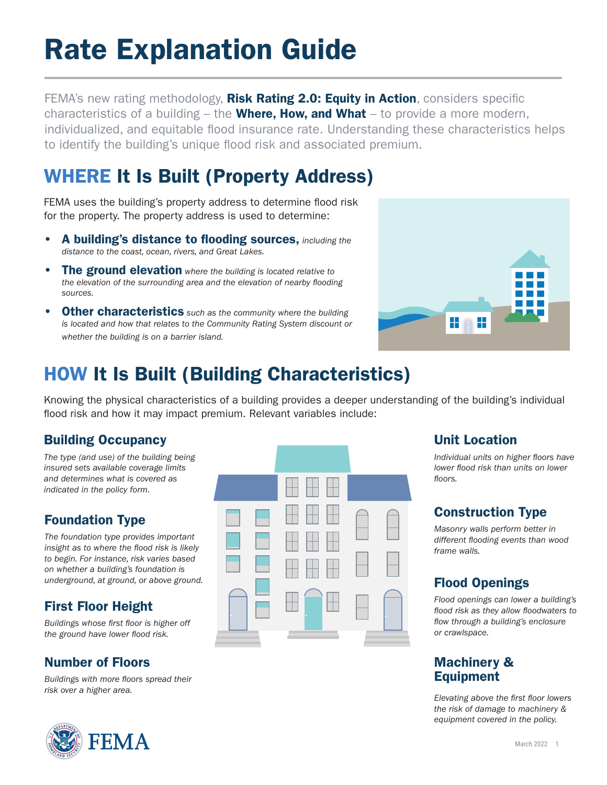# Rate Explanation Guide

FEMA's new rating methodology, **Risk Rating 2.0: Equity in Action**, considers specific characteristics of a building  $-$  the **Where, How, and What**  $-$  to provide a more modern, individualized, and equitable flood insurance rate. Understanding these characteristics helps to identify the building's unique flood risk and associated premium.

# WHERE It Is Built (Property Address)

FEMA uses the building's property address to determine flood risk for the property. The property address is used to determine:

- A building's distance to flooding sources, *including the distance to the coast, ocean, rivers, and Great Lakes.*
- The ground elevation *where the building is located relative to the elevation of the surrounding area and the elevation of nearby flooding sources.*
- Other characteristics *such as the community where the building is located and how that relates to the Community Rating System discount or whether the building is on a barrier island.*



# HOW It Is Built (Building Characteristics)

Knowing the physical characteristics of a building provides a deeper understanding of the building's individual flood risk and how it may impact premium. Relevant variables include:

# Building Occupancy

*The type (and use) of the building being insured sets available coverage limits and determines what is covered as indicated in the policy form.*

# Foundation Type

*The foundation type provides important insight as to where the flood risk is likely to begin. For instance, risk varies based on whether a building's foundation is underground, at ground, or above ground.*

# First Floor Height

*Buildings whose first floor is higher off the ground have lower flood risk.*

# Number of Floors

*Buildings with more floors spread their risk over a higher area.* 





# Unit Location

*Individual units on higher floors have lower flood risk than units on lower floors.*

# Construction Type

*Masonry walls perform better in different flooding events than wood frame walls.*

# Flood Openings

*Flood openings can lower a building's flood risk as they allow floodwaters to flow through a building's enclosure or crawlspace.*

### Machinery & Equipment

*Elevating above the first floor lowers the risk of damage to machinery & equipment covered in the policy.*